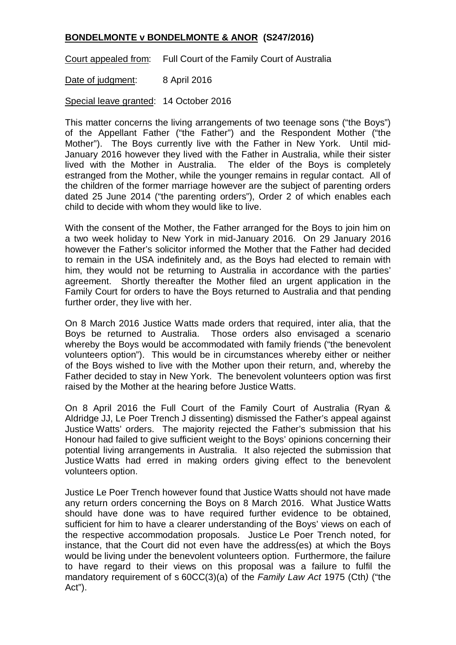## **BONDELMONTE v BONDELMONTE & ANOR (S247/2016)**

Court appealed from: Full Court of the Family Court of Australia

Date of judgment: 8 April 2016

Special leave granted: 14 October 2016

This matter concerns the living arrangements of two teenage sons ("the Boys") of the Appellant Father ("the Father") and the Respondent Mother ("the Mother"). The Boys currently live with the Father in New York. Until mid-January 2016 however they lived with the Father in Australia, while their sister lived with the Mother in Australia. The elder of the Boys is completely estranged from the Mother, while the younger remains in regular contact. All of the children of the former marriage however are the subject of parenting orders dated 25 June 2014 ("the parenting orders"), Order 2 of which enables each child to decide with whom they would like to live.

With the consent of the Mother, the Father arranged for the Boys to join him on a two week holiday to New York in mid-January 2016. On 29 January 2016 however the Father's solicitor informed the Mother that the Father had decided to remain in the USA indefinitely and, as the Boys had elected to remain with him, they would not be returning to Australia in accordance with the parties' agreement. Shortly thereafter the Mother filed an urgent application in the Family Court for orders to have the Boys returned to Australia and that pending further order, they live with her.

On 8 March 2016 Justice Watts made orders that required, inter alia, that the Boys be returned to Australia. Those orders also envisaged a scenario whereby the Boys would be accommodated with family friends ("the benevolent volunteers option"). This would be in circumstances whereby either or neither of the Boys wished to live with the Mother upon their return, and, whereby the Father decided to stay in New York. The benevolent volunteers option was first raised by the Mother at the hearing before Justice Watts.

On 8 April 2016 the Full Court of the Family Court of Australia (Ryan & Aldridge JJ, Le Poer Trench J dissenting) dismissed the Father's appeal against Justice Watts' orders. The majority rejected the Father's submission that his Honour had failed to give sufficient weight to the Boys' opinions concerning their potential living arrangements in Australia. It also rejected the submission that Justice Watts had erred in making orders giving effect to the benevolent volunteers option.

Justice Le Poer Trench however found that Justice Watts should not have made any return orders concerning the Boys on 8 March 2016. What Justice Watts should have done was to have required further evidence to be obtained, sufficient for him to have a clearer understanding of the Boys' views on each of the respective accommodation proposals. Justice Le Poer Trench noted, for instance, that the Court did not even have the address(es) at which the Boys would be living under the benevolent volunteers option. Furthermore, the failure to have regard to their views on this proposal was a failure to fulfil the mandatory requirement of s 60CC(3)(a) of the *Family Law Act* 1975 (Cth*)* ("the Act").